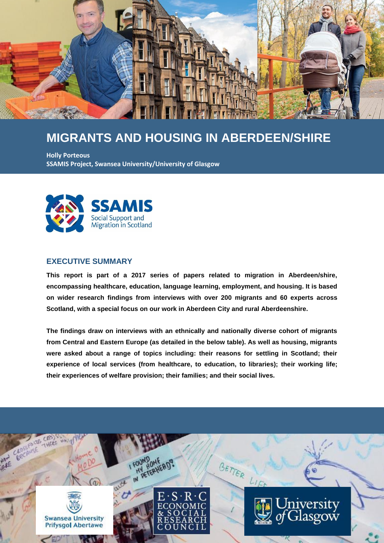

# **MIGRANTS AND HOUSING IN ABERDEEN/SHIRE**

**Holly Porteous SSAMIS Project, Swansea University/University of Glasgow**



#### **EXECUTIVE SUMMARY**

**This report is part of a 2017 series of papers related to migration in Aberdeen/shire, encompassing healthcare, education, language learning, employment, and housing. It is based on wider research findings from interviews with over 200 migrants and 60 experts across Scotland, with a special focus on our work in Aberdeen City and rural Aberdeenshire.**

**The findings draw on interviews with an ethnically and nationally diverse cohort of migrants from Central and Eastern Europe (as detailed in the below table). As well as housing, migrants were asked about a range of topics including: their reasons for settling in Scotland; their experience of local services (from healthcare, to education, to libraries); their working life; their experiences of welfare provision; their families; and their social lives.**

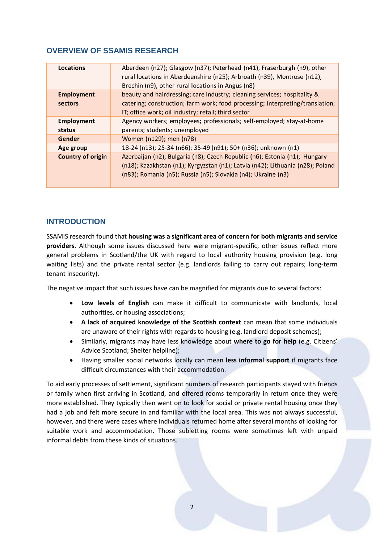## **OVERVIEW OF SSAMIS RESEARCH**

| Locations                | Aberdeen (n27); Glasgow (n37); Peterhead (n41), Fraserburgh (n9), other<br>rural locations in Aberdeenshire (n25); Arbroath (n39), Montrose (n12),<br>Brechin (n9), other rural locations in Angus (n8) |
|--------------------------|---------------------------------------------------------------------------------------------------------------------------------------------------------------------------------------------------------|
|                          |                                                                                                                                                                                                         |
| <b>Employment</b>        | beauty and hairdressing; care industry; cleaning services; hospitality &                                                                                                                                |
| sectors                  | catering; construction; farm work; food processing; interpreting/translation;                                                                                                                           |
|                          | IT; office work; oil industry; retail; third sector                                                                                                                                                     |
| <b>Employment</b>        | Agency workers; employees; professionals; self-employed; stay-at-home                                                                                                                                   |
| status                   | parents; students; unemployed                                                                                                                                                                           |
| Gender                   | Women (n129); men (n78)                                                                                                                                                                                 |
| Age group                | 18-24 (n13); 25-34 (n66); 35-49 (n91); 50+ (n36); unknown (n1)                                                                                                                                          |
| <b>Country of origin</b> | Azerbaijan (n2); Bulgaria (n8); Czech Republic (n6); Estonia (n1); Hungary                                                                                                                              |
|                          | (n18); Kazakhstan (n1); Kyrgyzstan (n1); Latvia (n42); Lithuania (n28); Poland                                                                                                                          |
|                          | (n83); Romania (n5); Russia (n5); Slovakia (n4); Ukraine (n3)                                                                                                                                           |
|                          |                                                                                                                                                                                                         |

## **INTRODUCTION**

SSAMIS research found that **housing was a significant area of concern for both migrants and service providers**. Although some issues discussed here were migrant-specific, other issues reflect more general problems in Scotland/the UK with regard to local authority housing provision (e.g. long waiting lists) and the private rental sector (e.g. landlords failing to carry out repairs; long-term tenant insecurity).

The negative impact that such issues have can be magnified for migrants due to several factors:

- **Low levels of English** can make it difficult to communicate with landlords, local authorities, or housing associations;
- **A lack of acquired knowledge of the Scottish context** can mean that some individuals are unaware of their rights with regards to housing (e.g. landlord deposit schemes);
- Similarly, migrants may have less knowledge about **where to go for help** (e.g. Citizens' Advice Scotland; Shelter helpline);
- Having smaller social networks locally can mean **less informal support** if migrants face difficult circumstances with their accommodation.

To aid early processes of settlement, significant numbers of research participants stayed with friends or family when first arriving in Scotland, and offered rooms temporarily in return once they were more established. They typically then went on to look for social or private rental housing once they had a job and felt more secure in and familiar with the local area. This was not always successful, however, and there were cases where individuals returned home after several months of looking for suitable work and accommodation. Those subletting rooms were sometimes left with unpaid informal debts from these kinds of situations.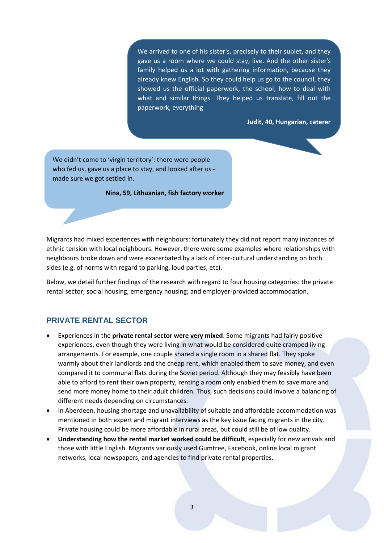We arrived to one of his sister's, precisely to their sublet, and they gave us a room where we could stay, live. And the other sister's family helped us a lot with gathering information, because they already knew English. So they could help us go to the council, they showed us the official paperwork, the school, how to deal with what and similar things. They helped us translate, fill out the paperwork, everything

**Judit, 40, Hungarian, caterer**

We didn't come to 'virgin territory': there were people who fed us, gave us a place to stay, and looked after us made sure we got settled in.

**Nina, 59, Lithuanian, fish factory worker**

Migrants had mixed experiences with neighbours: fortunately they did not report many instances of ethnic tension with local neighbours. However, there were some examples where relationships with neighbours broke down and were exacerbated by a lack of inter-cultural understanding on both sides (e.g. of norms with regard to parking, loud parties, etc).

Below, we detail further findings of the research with regard to four housing categories: the private rental sector; social housing; emergency housing; and employer-provided accommodation.

#### **PRIVATE RENTAL SECTOR**

- Experiences in the **private rental sector were very mixed**. Some migrants had fairly positive experiences, even though they were living in what would be considered quite cramped living arrangements. For example, one couple shared a single room in a shared flat. They spoke warmly about their landlords and the cheap rent, which enabled them to save money, and even compared it to communal flats during the Soviet period. Although they may feasibly have been able to afford to rent their own property, renting a room only enabled them to save more and send more money home to their adult children. Thus, such decisions could involve a balancing of different needs depending on circumstances.
- In Aberdeen, housing shortage and unavailability of suitable and affordable accommodation was mentioned in both expert and migrant interviews as the key issue facing migrants in the city. Private housing could be more affordable in rural areas, but could still be of low quality.
- **Understanding how the rental market worked could be difficult**, especially for new arrivals and those with little English. Migrants variously used Gumtree, Facebook, online local migrant networks, local newspapers, and agencies to find private rental properties.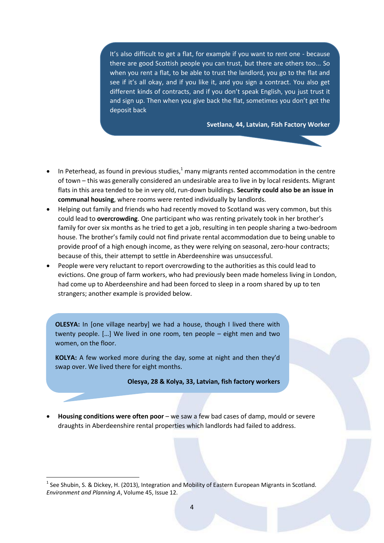It's also difficult to get a flat, for example if you want to rent one - because there are good Scottish people you can trust, but there are others too... So when you rent a flat, to be able to trust the landlord, you go to the flat and see if it's all okay, and if you like it, and you sign a contract. You also get different kinds of contracts, and if you don't speak English, you just trust it and sign up. Then when you give back the flat, sometimes you don't get the deposit back

**Svetlana, 44, Latvian, Fish Factory Worker**

- In Peterhead, as found in previous studies, $1$  many migrants rented accommodation in the centre of town – this was generally considered an undesirable area to live in by local residents. Migrant flats in this area tended to be in very old, run-down buildings. **Security could also be an issue in communal housing**, where rooms were rented individually by landlords.
- Helping out family and friends who had recently moved to Scotland was very common, but this could lead to **overcrowding**. One participant who was renting privately took in her brother's family for over six months as he tried to get a job, resulting in ten people sharing a two-bedroom house. The brother's family could not find private rental accommodation due to being unable to provide proof of a high enough income, as they were relying on seasonal, zero-hour contracts; because of this, their attempt to settle in Aberdeenshire was unsuccessful.
- People were very reluctant to report overcrowding to the authorities as this could lead to evictions. One group of farm workers, who had previously been made homeless living in London, had come up to Aberdeenshire and had been forced to sleep in a room shared by up to ten strangers; another example is provided below.

**OLESYA:** In [one village nearby] we had a house, though I lived there with twenty people. […] We lived in one room, ten people – eight men and two women, on the floor.

**KOLYA:** A few worked more during the day, some at night and then they'd swap over. We lived there for eight months.

**Olesya, 28 & Kolya, 33, Latvian, fish factory workers**

 **Housing conditions were often poor** – we saw a few bad cases of damp, mould or severe draughts in Aberdeenshire rental properties which landlords had failed to address.

**.** 

<sup>&</sup>lt;sup>1</sup> See Shubin, S. & Dickey, H. (2013), Integration and Mobility of Eastern European Migrants in Scotland. *Environment and Planning A*, Volume 45, Issue 12.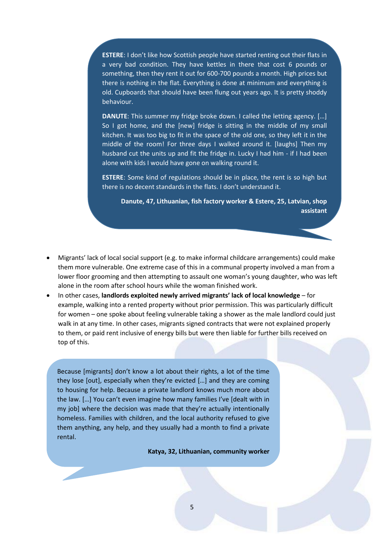**ESTERE**: I don't like how Scottish people have started renting out their flats in a very bad condition. They have kettles in there that cost 6 pounds or something, then they rent it out for 600-700 pounds a month. High prices but there is nothing in the flat. Everything is done at minimum and everything is old. Cupboards that should have been flung out years ago. It is pretty shoddy behaviour.

**DANUTE**: This summer my fridge broke down. I called the letting agency. […] So I got home, and the [new] fridge is sitting in the middle of my small kitchen. It was too big to fit in the space of the old one, so they left it in the middle of the room! For three days I walked around it. [laughs] Then my husband cut the units up and fit the fridge in. Lucky I had him - if I had been alone with kids I would have gone on walking round it.

**ESTERE**: Some kind of regulations should be in place, the rent is so high but there is no decent standards in the flats. I don't understand it.

**Danute, 47, Lithuanian, fish factory worker & Estere, 25, Latvian, shop assistant**

- Migrants' lack of local social support (e.g. to make informal childcare arrangements) could make them more vulnerable. One extreme case of this in a communal property involved a man from a lower floor grooming and then attempting to assault one woman's young daughter, who was left alone in the room after school hours while the woman finished work.
- In other cases, **landlords exploited newly arrived migrants' lack of local knowledge**  for example, walking into a rented property without prior permission. This was particularly difficult for women – one spoke about feeling vulnerable taking a shower as the male landlord could just walk in at any time. In other cases, migrants signed contracts that were not explained properly to them, or paid rent inclusive of energy bills but were then liable for further bills received on top of this.

Because [migrants] don't know a lot about their rights, a lot of the time they lose [out], especially when they're evicted […] and they are coming to housing for help. Because a private landlord knows much more about the law. […] You can't even imagine how many families I've [dealt with in my job] where the decision was made that they're actually intentionally homeless. Families with children, and the local authority refused to give them anything, any help, and they usually had a month to find a private rental.

**Katya, 32, Lithuanian, community worker**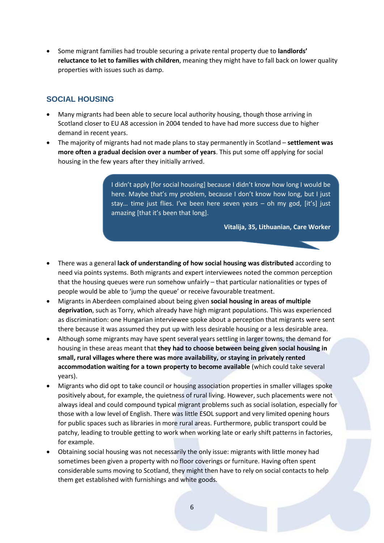Some migrant families had trouble securing a private rental property due to **landlords' reluctance to let to families with children**, meaning they might have to fall back on lower quality properties with issues such as damp.

## **SOCIAL HOUSING**

- Many migrants had been able to secure local authority housing, though those arriving in Scotland closer to EU A8 accession in 2004 tended to have had more success due to higher demand in recent years.
- The majority of migrants had not made plans to stay permanently in Scotland **settlement was more often a gradual decision over a number of years**. This put some off applying for social housing in the few years after they initially arrived.

I didn't apply [for social housing] because I didn't know how long I would be here. Maybe that's my problem, because I don't know how long, but I just stay… time just flies. I've been here seven years – oh my god, [it's] just amazing [that it's been that long].

**Vitalija, 35, Lithuanian, Care Worker**

- There was a general **lack of understanding of how social housing was distributed** according to need via points systems. Both migrants and expert interviewees noted the common perception that the housing queues were run somehow unfairly – that particular nationalities or types of people would be able to 'jump the queue' or receive favourable treatment.
- Migrants in Aberdeen complained about being given **social housing in areas of multiple deprivation**, such as Torry, which already have high migrant populations. This was experienced as discrimination: one Hungarian interviewee spoke about a perception that migrants were sent there because it was assumed they put up with less desirable housing or a less desirable area.
- Although some migrants may have spent several years settling in larger towns, the demand for housing in these areas meant that **they had to choose between being given social housing in small, rural villages where there was more availability, or staying in privately rented accommodation waiting for a town property to become available** (which could take several years).
- Migrants who did opt to take council or housing association properties in smaller villages spoke positively about, for example, the quietness of rural living. However, such placements were not always ideal and could compound typical migrant problems such as social isolation, especially for those with a low level of English. There was little ESOL support and very limited opening hours for public spaces such as libraries in more rural areas. Furthermore, public transport could be patchy, leading to trouble getting to work when working late or early shift patterns in factories, for example.
- Obtaining social housing was not necessarily the only issue: migrants with little money had sometimes been given a property with no floor coverings or furniture. Having often spent considerable sums moving to Scotland, they might then have to rely on social contacts to help them get established with furnishings and white goods.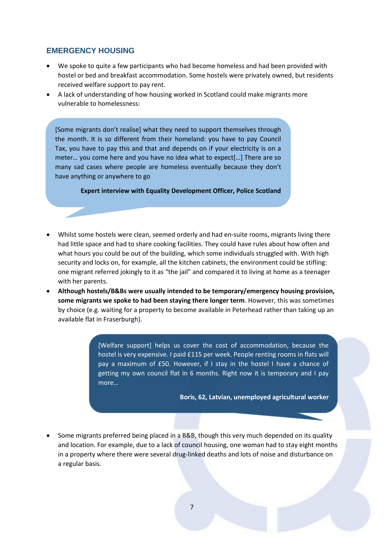#### **EMERGENCY HOUSING**

- We spoke to quite a few participants who had become homeless and had been provided with hostel or bed and breakfast accommodation. Some hostels were privately owned, but residents received welfare support to pay rent.
- A lack of understanding of how housing worked in Scotland could make migrants more vulnerable to homelessness:

[Some migrants don't realise] what they need to support themselves through the month. It is so different from their homeland: you have to pay Council Tax, you have to pay this and that and depends on if your electricity is on a meter… you come here and you have no idea what to expect[…] There are so many sad cases where people are homeless eventually because they don't have anything or anywhere to go

**Expert interview with Equality Development Officer, Police Scotland**

- Whilst some hostels were clean, seemed orderly and had en-suite rooms, migrants living there had little space and had to share cooking facilities. They could have rules about how often and what hours you could be out of the building, which some individuals struggled with. With high security and locks on, for example, all the kitchen cabinets, the environment could be stifling: one migrant referred jokingly to it as "the jail" and compared it to living at home as a teenager with her parents.
- **Although hostels/B&Bs were usually intended to be temporary/emergency housing provision, some migrants we spoke to had been staying there longer term**. However, this was sometimes by choice (e.g. waiting for a property to become available in Peterhead rather than taking up an available flat in Fraserburgh).

[Welfare support] helps us cover the cost of accommodation, because the hostel is very expensive. I paid £115 per week. People renting rooms in flats will pay a maximum of £50. However, if I stay in the hostel I have a chance of getting my own council flat in 6 months. Right now it is temporary and I pay more…

**Boris, 62, Latvian, unemployed agricultural worker**

 Some migrants preferred being placed in a B&B, though this very much depended on its quality and location. For example, due to a lack of council housing, one woman had to stay eight months in a property where there were several drug-linked deaths and lots of noise and disturbance on a regular basis.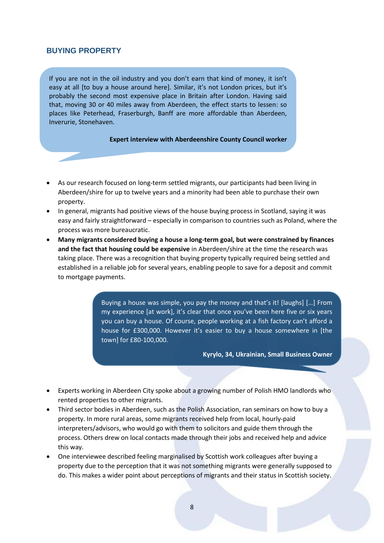### **BUYING PROPERTY**

If you are not in the oil industry and you don't earn that kind of money, it isn't easy at all [to buy a house around here]. Similar, it's not London prices, but it's probably the second most expensive place in Britain after London. Having said that, moving 30 or 40 miles away from Aberdeen, the effect starts to lessen: so places like Peterhead, Fraserburgh, Banff are more affordable than Aberdeen, Inverurie, Stonehaven.

#### **Expert interview with Aberdeenshire County Council worker**

- As our research focused on long-term settled migrants, our participants had been living in Aberdeen/shire for up to twelve years and a minority had been able to purchase their own property.
- In general, migrants had positive views of the house buying process in Scotland, saying it was easy and fairly straightforward – especially in comparison to countries such as Poland, where the process was more bureaucratic.
- **Many migrants considered buying a house a long-term goal, but were constrained by finances and the fact that housing could be expensive** in Aberdeen/shire at the time the research was taking place. There was a recognition that buying property typically required being settled and established in a reliable job for several years, enabling people to save for a deposit and commit to mortgage payments.

Buying a house was simple, you pay the money and that's it! [laughs] […] From my experience [at work], it's clear that once you've been here five or six years you can buy a house. Of course, people working at a fish factory can't afford a house for £300,000. However it's easier to buy a house somewhere in [the town] for £80-100,000.

**Kyrylo, 34, Ukrainian, Small Business Owner**

- Experts working in Aberdeen City spoke about a growing number of Polish HMO landlords who rented properties to other migrants.
- Third sector bodies in Aberdeen, such as the Polish Association, ran seminars on how to buy a property. In more rural areas, some migrants received help from local, hourly-paid interpreters/advisors, who would go with them to solicitors and guide them through the process. Others drew on local contacts made through their jobs and received help and advice this way.
- One interviewee described feeling marginalised by Scottish work colleagues after buying a property due to the perception that it was not something migrants were generally supposed to do. This makes a wider point about perceptions of migrants and their status in Scottish society.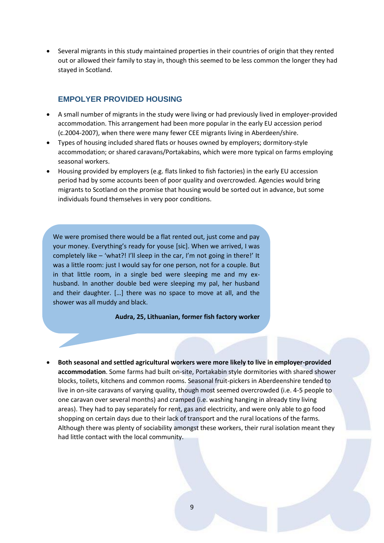Several migrants in this study maintained properties in their countries of origin that they rented out or allowed their family to stay in, though this seemed to be less common the longer they had stayed in Scotland.

### **EMPOLYER PROVIDED HOUSING**

- A small number of migrants in the study were living or had previously lived in employer-provided accommodation. This arrangement had been more popular in the early EU accession period (c.2004-2007), when there were many fewer CEE migrants living in Aberdeen/shire.
- Types of housing included shared flats or houses owned by employers; dormitory-style accommodation; or shared caravans/Portakabins, which were more typical on farms employing seasonal workers.
- Housing provided by employers (e.g. flats linked to fish factories) in the early EU accession period had by some accounts been of poor quality and overcrowded. Agencies would bring migrants to Scotland on the promise that housing would be sorted out in advance, but some individuals found themselves in very poor conditions.

We were promised there would be a flat rented out, just come and pay your money. Everything's ready for youse [sic]. When we arrived, I was completely like – 'what?! I'll sleep in the car, I'm not going in there!' It was a little room: just I would say for one person, not for a couple. But in that little room, in a single bed were sleeping me and my exhusband. In another double bed were sleeping my pal, her husband and their daughter. […] there was no space to move at all, and the shower was all muddy and black.

**Audra, 25, Lithuanian, former fish factory worker**

 **Both seasonal and settled agricultural workers were more likely to live in employer-provided accommodation**. Some farms had built on-site, Portakabin style dormitories with shared shower blocks, toilets, kitchens and common rooms. Seasonal fruit-pickers in Aberdeenshire tended to live in on-site caravans of varying quality, though most seemed overcrowded (i.e. 4-5 people to one caravan over several months) and cramped (i.e. washing hanging in already tiny living areas). They had to pay separately for rent, gas and electricity, and were only able to go food shopping on certain days due to their lack of transport and the rural locations of the farms. Although there was plenty of sociability amongst these workers, their rural isolation meant they had little contact with the local community.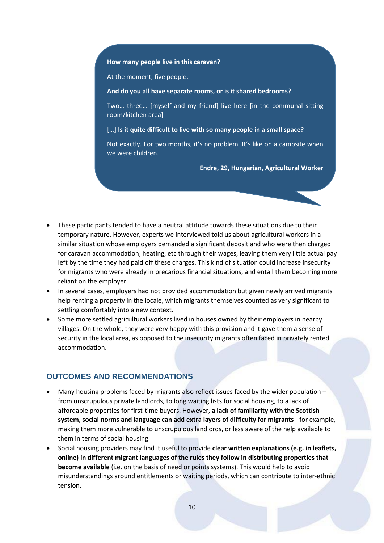#### **How many people live in this caravan?**

At the moment, five people.

#### **And do you all have separate rooms, or is it shared bedrooms?**

Two… three… [myself and my friend] live here [in the communal sitting room/kitchen area]

[…] **Is it quite difficult to live with so many people in a small space?**

Not exactly. For two months, it's no problem. It's like on a campsite when we were children.

**Endre, 29, Hungarian, Agricultural Worker**

- These participants tended to have a neutral attitude towards these situations due to their temporary nature. However, experts we interviewed told us about agricultural workers in a similar situation whose employers demanded a significant deposit and who were then charged for caravan accommodation, heating, etc through their wages, leaving them very little actual pay left by the time they had paid off these charges. This kind of situation could increase insecurity for migrants who were already in precarious financial situations, and entail them becoming more reliant on the employer.
- In several cases, employers had not provided accommodation but given newly arrived migrants help renting a property in the locale, which migrants themselves counted as very significant to settling comfortably into a new context.
- Some more settled agricultural workers lived in houses owned by their employers in nearby villages. On the whole, they were very happy with this provision and it gave them a sense of security in the local area, as opposed to the insecurity migrants often faced in privately rented accommodation.

#### **OUTCOMES AND RECOMMENDATIONS**

- Many housing problems faced by migrants also reflect issues faced by the wider population from unscrupulous private landlords, to long waiting lists for social housing, to a lack of affordable properties for first-time buyers. However, **a lack of familiarity with the Scottish system, social norms and language can add extra layers of difficulty for migrants** - for example, making them more vulnerable to unscrupulous landlords, or less aware of the help available to them in terms of social housing.
- Social housing providers may find it useful to provide **clear written explanations (e.g. in leaflets, online) in different migrant languages of the rules they follow in distributing properties that become available** (i.e. on the basis of need or points systems). This would help to avoid misunderstandings around entitlements or waiting periods, which can contribute to inter-ethnic tension.